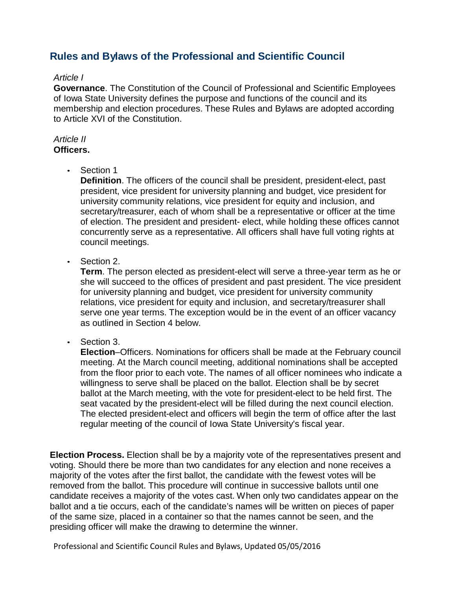# **Rules and Bylaws of the Professional and Scientific Council**

## *Article I*

**Governance**. The Constitution of the Council of Professional and Scientific Employees of Iowa State University defines the purpose and functions of the council and its membership and election procedures. These Rules and Bylaws are adopted according to Article XVI of the Constitution.

#### *Article II* **Officers.**

• Section 1

**Definition**. The officers of the council shall be president, president-elect, past president, vice president for university planning and budget, vice president for university community relations, vice president for equity and inclusion, and secretary/treasurer, each of whom shall be a representative or officer at the time of election. The president and president- elect, while holding these offices cannot concurrently serve as a representative. All officers shall have full voting rights at council meetings.

• Section 2.

**Term**. The person elected as president-elect will serve a three-year term as he or she will succeed to the offices of president and past president. The vice president for university planning and budget, vice president for university community relations, vice president for equity and inclusion, and secretary/treasurer shall serve one year terms. The exception would be in the event of an officer vacancy as outlined in Section 4 below.

• Section 3.

**Election**–Officers. Nominations for officers shall be made at the February council meeting. At the March council meeting, additional nominations shall be accepted from the floor prior to each vote. The names of all officer nominees who indicate a willingness to serve shall be placed on the ballot. Election shall be by secret ballot at the March meeting, with the vote for president-elect to be held first. The seat vacated by the president-elect will be filled during the next council election. The elected president-elect and officers will begin the term of office after the last regular meeting of the council of Iowa State University's fiscal year.

**Election Process.** Election shall be by a majority vote of the representatives present and voting. Should there be more than two candidates for any election and none receives a majority of the votes after the first ballot, the candidate with the fewest votes will be removed from the ballot. This procedure will continue in successive ballots until one candidate receives a majority of the votes cast. When only two candidates appear on the ballot and a tie occurs, each of the candidate's names will be written on pieces of paper of the same size, placed in a container so that the names cannot be seen, and the presiding officer will make the drawing to determine the winner.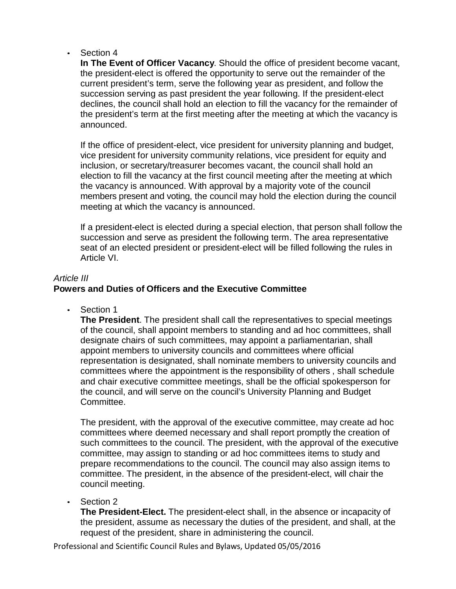• Section 4

**In The Event of Officer Vacancy**. Should the office of president become vacant, the president-elect is offered the opportunity to serve out the remainder of the current president's term, serve the following year as president, and follow the succession serving as past president the year following. If the president-elect declines, the council shall hold an election to fill the vacancy for the remainder of the president's term at the first meeting after the meeting at which the vacancy is announced.

If the office of president-elect, vice president for university planning and budget, vice president for university community relations, vice president for equity and inclusion, or secretary/treasurer becomes vacant, the council shall hold an election to fill the vacancy at the first council meeting after the meeting at which the vacancy is announced. With approval by a majority vote of the council members present and voting, the council may hold the election during the council meeting at which the vacancy is announced.

If a president-elect is elected during a special election, that person shall follow the succession and serve as president the following term. The area representative seat of an elected president or president-elect will be filled following the rules in Article VI.

# *Article III*

# **Powers and Duties of Officers and the Executive Committee**

• Section 1

**The President**. The president shall call the representatives to special meetings of the council, shall appoint members to standing and ad hoc committees, shall designate chairs of such committees, may appoint a parliamentarian, shall appoint members to university councils and committees where official representation is designated, shall nominate members to university councils and committees where the appointment is the responsibility of others , shall schedule and chair executive committee meetings, shall be the official spokesperson for the council, and will serve on the council's University Planning and Budget Committee.

The president, with the approval of the executive committee, may create ad hoc committees where deemed necessary and shall report promptly the creation of such committees to the council. The president, with the approval of the executive committee, may assign to standing or ad hoc committees items to study and prepare recommendations to the council. The council may also assign items to committee. The president, in the absence of the president-elect, will chair the council meeting.

• Section 2

**The President-Elect.** The president-elect shall, in the absence or incapacity of the president, assume as necessary the duties of the president, and shall, at the request of the president, share in administering the council.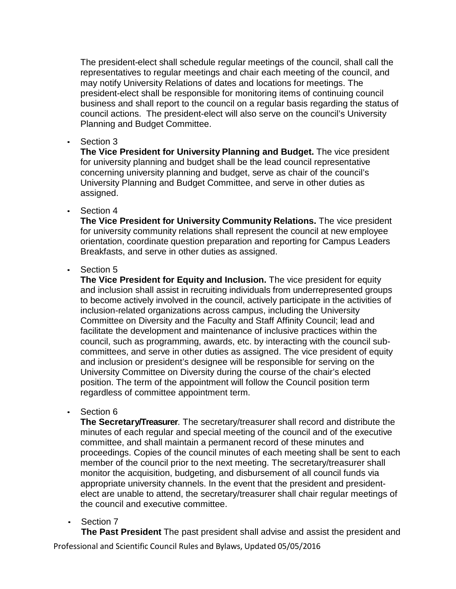The president-elect shall schedule regular meetings of the council, shall call the representatives to regular meetings and chair each meeting of the council, and may notify University Relations of dates and locations for meetings. The president-elect shall be responsible for monitoring items of continuing council business and shall report to the council on a regular basis regarding the status of council actions. The president-elect will also serve on the council's University Planning and Budget Committee.

• Section 3

**The Vice President for University Planning and Budget.** The vice president for university planning and budget shall be the lead council representative concerning university planning and budget, serve as chair of the council's University Planning and Budget Committee, and serve in other duties as assigned.

• Section 4

**The Vice President for University Community Relations.** The vice president for university community relations shall represent the council at new employee orientation, coordinate question preparation and reporting for Campus Leaders Breakfasts, and serve in other duties as assigned.

• Section 5

**The Vice President for Equity and Inclusion.** The vice president for equity and inclusion shall assist in recruiting individuals from underrepresented groups to become actively involved in the council, actively participate in the activities of inclusion-related organizations across campus, including the University Committee on Diversity and the Faculty and Staff Affinity Council; lead and facilitate the development and maintenance of inclusive practices within the council, such as programming, awards, etc. by interacting with the council subcommittees, and serve in other duties as assigned. The vice president of equity and inclusion or president's designee will be responsible for serving on the University Committee on Diversity during the course of the chair's elected position. The term of the appointment will follow the Council position term regardless of committee appointment term.

• Section 6

**The Secretary/Treasurer**. The secretary/treasurer shall record and distribute the minutes of each regular and special meeting of the council and of the executive committee, and shall maintain a permanent record of these minutes and proceedings. Copies of the council minutes of each meeting shall be sent to each member of the council prior to the next meeting. The secretary/treasurer shall monitor the acquisition, budgeting, and disbursement of all council funds via appropriate university channels. In the event that the president and presidentelect are unable to attend, the secretary/treasurer shall chair regular meetings of the council and executive committee.

• Section 7

**The Past President** The past president shall advise and assist the president and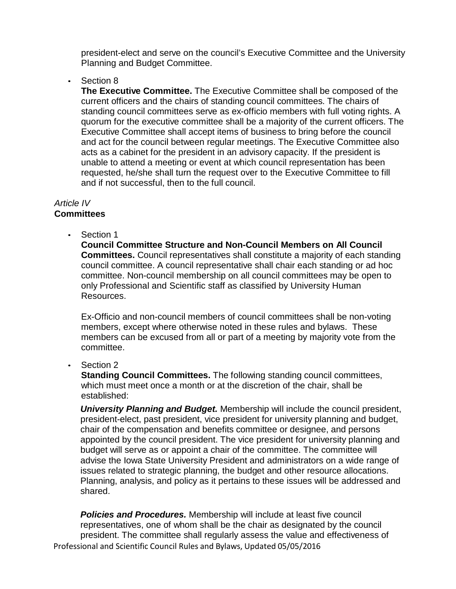president-elect and serve on the council's Executive Committee and the University Planning and Budget Committee.

Section 8

**The Executive Committee.** The Executive Committee shall be composed of the current officers and the chairs of standing council committees. The chairs of standing council committees serve as ex-officio members with full voting rights. A quorum for the executive committee shall be a majority of the current officers. The Executive Committee shall accept items of business to bring before the council and act for the council between regular meetings. The Executive Committee also acts as a cabinet for the president in an advisory capacity. If the president is unable to attend a meeting or event at which council representation has been requested, he/she shall turn the request over to the Executive Committee to fill and if not successful, then to the full council.

# *Article IV*

# **Committees**

Section 1

**Council Committee Structure and Non-Council Members on All Council Committees.** Council representatives shall constitute a majority of each standing council committee. A council representative shall chair each standing or ad hoc committee. Non-council membership on all council committees may be open to only Professional and Scientific staff as classified by University Human Resources.

Ex-Officio and non-council members of council committees shall be non-voting members, except where otherwise noted in these rules and bylaws. These members can be excused from all or part of a meeting by majority vote from the committee.

• Section 2

**Standing Council Committees.** The following standing council committees, which must meet once a month or at the discretion of the chair, shall be established:

*University Planning and Budget.* Membership will include the council president, president-elect, past president, vice president for university planning and budget, chair of the compensation and benefits committee or designee, and persons appointed by the council president. The vice president for university planning and budget will serve as or appoint a chair of the committee. The committee will advise the Iowa State University President and administrators on a wide range of issues related to strategic planning, the budget and other resource allocations. Planning, analysis, and policy as it pertains to these issues will be addressed and shared.

Professional and Scientific Council Rules and Bylaws, Updated 05/05/2016 *Policies and Procedures.* Membership will include at least five council representatives, one of whom shall be the chair as designated by the council president. The committee shall regularly assess the value and effectiveness of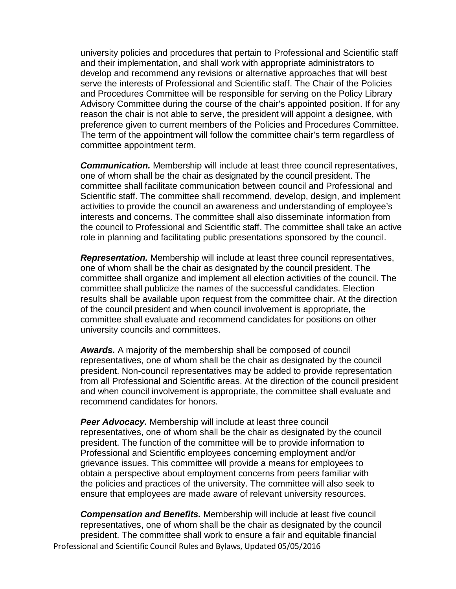university policies and procedures that pertain to Professional and Scientific staff and their implementation, and shall work with appropriate administrators to develop and recommend any revisions or alternative approaches that will best serve the interests of Professional and Scientific staff. The Chair of the Policies and Procedures Committee will be responsible for serving on the Policy Library Advisory Committee during the course of the chair's appointed position. If for any reason the chair is not able to serve, the president will appoint a designee, with preference given to current members of the Policies and Procedures Committee. The term of the appointment will follow the committee chair's term regardless of committee appointment term.

*Communication.* Membership will include at least three council representatives, one of whom shall be the chair as designated by the council president. The committee shall facilitate communication between council and Professional and Scientific staff. The committee shall recommend, develop, design, and implement activities to provide the council an awareness and understanding of employee's interests and concerns. The committee shall also disseminate information from the council to Professional and Scientific staff. The committee shall take an active role in planning and facilitating public presentations sponsored by the council.

*Representation.* Membership will include at least three council representatives, one of whom shall be the chair as designated by the council president. The committee shall organize and implement all election activities of the council. The committee shall publicize the names of the successful candidates. Election results shall be available upon request from the committee chair. At the direction of the council president and when council involvement is appropriate, the committee shall evaluate and recommend candidates for positions on other university councils and committees.

*Awards.* A majority of the membership shall be composed of council representatives, one of whom shall be the chair as designated by the council president. Non-council representatives may be added to provide representation from all Professional and Scientific areas. At the direction of the council president and when council involvement is appropriate, the committee shall evaluate and recommend candidates for honors.

**Peer Advocacy.** Membership will include at least three council representatives, one of whom shall be the chair as designated by the council president. The function of the committee will be to provide information to Professional and Scientific employees concerning employment and/or grievance issues. This committee will provide a means for employees to obtain a perspective about employment concerns from peers familiar with the policies and practices of the university. The committee will also seek to ensure that employees are made aware of relevant university resources.

Professional and Scientific Council Rules and Bylaws, Updated 05/05/2016 *Compensation and Benefits.* Membership will include at least five council representatives, one of whom shall be the chair as designated by the council president. The committee shall work to ensure a fair and equitable financial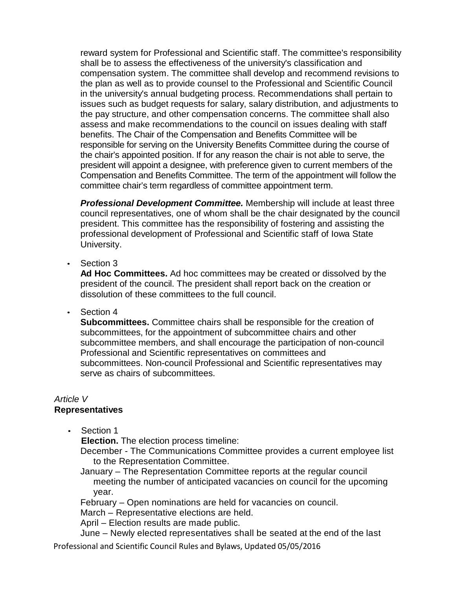reward system for Professional and Scientific staff. The committee's responsibility shall be to assess the effectiveness of the university's classification and compensation system. The committee shall develop and recommend revisions to the plan as well as to provide counsel to the Professional and Scientific Council in the university's annual budgeting process. Recommendations shall pertain to issues such as budget requests for salary, salary distribution, and adjustments to the pay structure, and other compensation concerns. The committee shall also assess and make recommendations to the council on issues dealing with staff benefits. The Chair of the Compensation and Benefits Committee will be responsible for serving on the University Benefits Committee during the course of the chair's appointed position. If for any reason the chair is not able to serve, the president will appoint a designee, with preference given to current members of the Compensation and Benefits Committee. The term of the appointment will follow the committee chair's term regardless of committee appointment term.

*Professional Development Committee.* Membership will include at least three council representatives, one of whom shall be the chair designated by the council president. This committee has the responsibility of fostering and assisting the professional development of Professional and Scientific staff of Iowa State University.

• Section 3

**Ad Hoc Committees.** Ad hoc committees may be created or dissolved by the president of the council. The president shall report back on the creation or dissolution of these committees to the full council.

• Section 4

**Subcommittees.** Committee chairs shall be responsible for the creation of subcommittees, for the appointment of subcommittee chairs and other subcommittee members, and shall encourage the participation of non-council Professional and Scientific representatives on committees and subcommittees. Non-council Professional and Scientific representatives may serve as chairs of subcommittees.

# *Article V*

# **Representatives**

Section 1

**Election.** The election process timeline:

December - The Communications Committee provides a current employee list to the Representation Committee.

January – The Representation Committee reports at the regular council meeting the number of anticipated vacancies on council for the upcoming year.

February – Open nominations are held for vacancies on council.

March – Representative elections are held.

April – Election results are made public.

June – Newly elected representatives shall be seated at the end of the last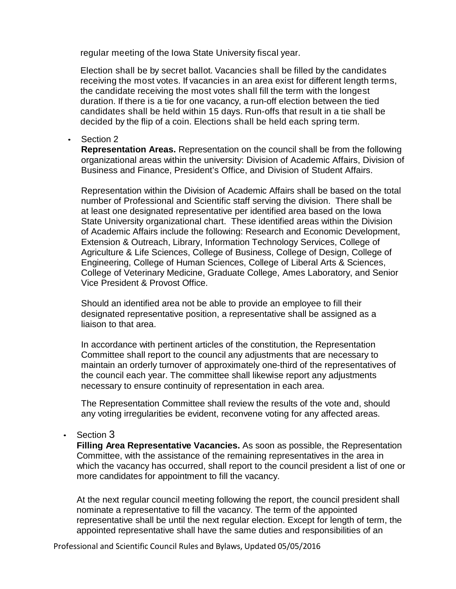regular meeting of the Iowa State University fiscal year.

Election shall be by secret ballot. Vacancies shall be filled by the candidates receiving the most votes. If vacancies in an area exist for different length terms, the candidate receiving the most votes shall fill the term with the longest duration. If there is a tie for one vacancy, a run-off election between the tied candidates shall be held within 15 days. Run-offs that result in a tie shall be decided by the flip of a coin. Elections shall be held each spring term.

• Section 2

**Representation Areas.** Representation on the council shall be from the following organizational areas within the university: Division of Academic Affairs, Division of Business and Finance, President's Office, and Division of Student Affairs.

Representation within the Division of Academic Affairs shall be based on the total number of Professional and Scientific staff serving the division. There shall be at least one designated representative per identified area based on the Iowa State University organizational chart. These identified areas within the Division of Academic Affairs include the following: Research and Economic Development, Extension & Outreach, Library, Information Technology Services, College of Agriculture & Life Sciences, College of Business, College of Design, College of Engineering, College of Human Sciences, College of Liberal Arts & Sciences, College of Veterinary Medicine, Graduate College, Ames Laboratory, and Senior Vice President & Provost Office.

Should an identified area not be able to provide an employee to fill their designated representative position, a representative shall be assigned as a liaison to that area.

In accordance with pertinent articles of the constitution, the Representation Committee shall report to the council any adjustments that are necessary to maintain an orderly turnover of approximately one-third of the representatives of the council each year. The committee shall likewise report any adjustments necessary to ensure continuity of representation in each area.

The Representation Committee shall review the results of the vote and, should any voting irregularities be evident, reconvene voting for any affected areas.

• Section 3

**Filling Area Representative Vacancies.** As soon as possible, the Representation Committee, with the assistance of the remaining representatives in the area in which the vacancy has occurred, shall report to the council president a list of one or more candidates for appointment to fill the vacancy.

At the next regular council meeting following the report, the council president shall nominate a representative to fill the vacancy. The term of the appointed representative shall be until the next regular election. Except for length of term, the appointed representative shall have the same duties and responsibilities of an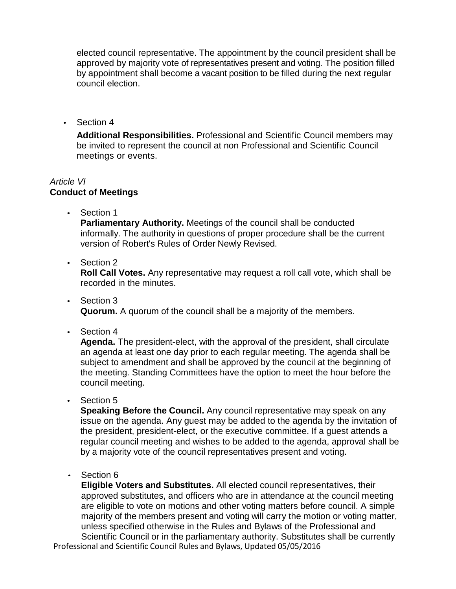elected council representative. The appointment by the council president shall be approved by majority vote of representatives present and voting. The position filled by appointment shall become a vacant position to be filled during the next regular council election.

• Section 4

**Additional Responsibilities.** Professional and Scientific Council members may be invited to represent the council at non Professional and Scientific Council meetings or events.

## *Article VI* **Conduct of Meetings**

• Section 1

**Parliamentary Authority.** Meetings of the council shall be conducted informally. The authority in questions of proper procedure shall be the current version of Robert's Rules of Order Newly Revised.

• Section 2

**Roll Call Votes.** Any representative may request a roll call vote, which shall be recorded in the minutes.

- Section 3 **Quorum.** A quorum of the council shall be a majority of the members.
- Section 4

**Agenda.** The president-elect, with the approval of the president, shall circulate an agenda at least one day prior to each regular meeting. The agenda shall be subject to amendment and shall be approved by the council at the beginning of the meeting. Standing Committees have the option to meet the hour before the council meeting.

• Section 5

**Speaking Before the Council.** Any council representative may speak on any issue on the agenda. Any guest may be added to the agenda by the invitation of the president, president-elect, or the executive committee. If a guest attends a regular council meeting and wishes to be added to the agenda, approval shall be by a majority vote of the council representatives present and voting.

• Section 6

**Eligible Voters and Substitutes.** All elected council representatives, their approved substitutes, and officers who are in attendance at the council meeting are eligible to vote on motions and other voting matters before council. A simple majority of the members present and voting will carry the motion or voting matter, unless specified otherwise in the Rules and Bylaws of the Professional and Scientific Council or in the parliamentary authority. Substitutes shall be currently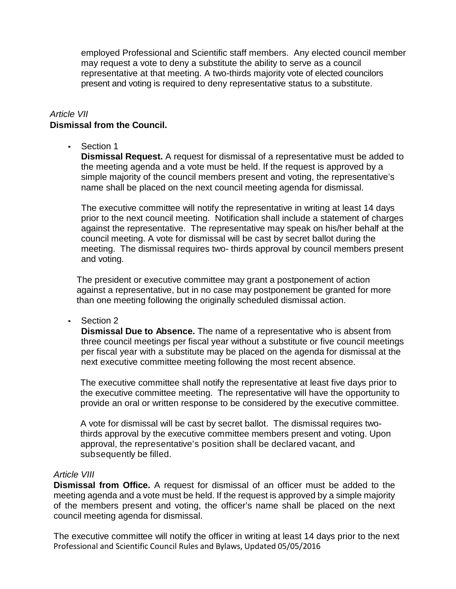employed Professional and Scientific staff members. Any elected council member may request a vote to deny a substitute the ability to serve as a council representative at that meeting. A two-thirds majority vote of elected councilors present and voting is required to deny representative status to a substitute.

#### *Article VII*

# **Dismissal from the Council.**

• Section 1

**Dismissal Request.** A request for dismissal of a representative must be added to the meeting agenda and a vote must be held. If the request is approved by a simple majority of the council members present and voting, the representative's name shall be placed on the next council meeting agenda for dismissal.

The executive committee will notify the representative in writing at least 14 days prior to the next council meeting. Notification shall include a statement of charges against the representative. The representative may speak on his/her behalf at the council meeting. A vote for dismissal will be cast by secret ballot during the meeting. The dismissal requires two- thirds approval by council members present and voting.

The president or executive committee may grant a postponement of action against a representative, but in no case may postponement be granted for more than one meeting following the originally scheduled dismissal action.

• Section 2

**Dismissal Due to Absence.** The name of a representative who is absent from three council meetings per fiscal year without a substitute or five council meetings per fiscal year with a substitute may be placed on the agenda for dismissal at the next executive committee meeting following the most recent absence.

The executive committee shall notify the representative at least five days prior to the executive committee meeting. The representative will have the opportunity to provide an oral or written response to be considered by the executive committee.

A vote for dismissal will be cast by secret ballot. The dismissal requires twothirds approval by the executive committee members present and voting. Upon approval, the representative's position shall be declared vacant, and subsequently be filled.

#### *Article VIII*

**Dismissal from Office.** A request for dismissal of an officer must be added to the meeting agenda and a vote must be held. If the request is approved by a simple majority of the members present and voting, the officer's name shall be placed on the next council meeting agenda for dismissal.

Professional and Scientific Council Rules and Bylaws, Updated 05/05/2016 The executive committee will notify the officer in writing at least 14 days prior to the next